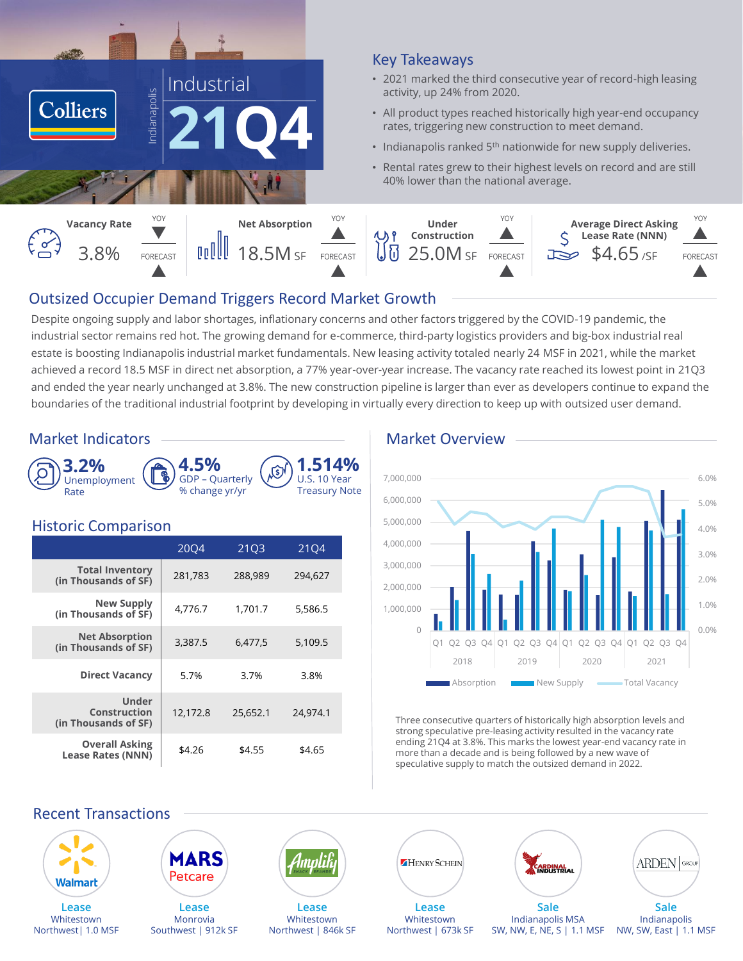

## Key Takeaways

- 2021 marked the third consecutive year of record-high leasing activity, up 24% from 2020.
- All product types reached historically high year-end occupancy rates, triggering new construction to meet demand.
- Indianapolis ranked  $5<sup>th</sup>$  nationwide for new supply deliveries.
- Rental rates grew to their highest levels on record and are still 40% lower than the national average.



# Outsized Occupier Demand Triggers Record Market Growth

Despite ongoing supply and labor shortages, inflationary concerns and other factors triggered by the COVID-19 pandemic, the industrial sector remains red hot. The growing demand for e-commerce, third-party logistics providers and big-box industrial real estate is boosting Indianapolis industrial market fundamentals. New leasing activity totaled nearly 24 MSF in 2021, while the market achieved a record 18.5 MSF in direct net absorption, a 77% year-over-year increase. The vacancy rate reached its lowest point in 21Q3 and ended the year nearly unchanged at 3.8%. The new construction pipeline is larger than ever as developers continue to expand the boundaries of the traditional industrial footprint by developing in virtually every direction to keep up with outsized user demand.



## Historic Comparison

|                                                   | 2004     | 21Q3     | 2104     |
|---------------------------------------------------|----------|----------|----------|
| <b>Total Inventory</b><br>(in Thousands of SF)    | 281,783  | 288,989  | 294,627  |
| <b>New Supply</b><br>(in Thousands of SF)         | 4,776.7  | 1,701.7  | 5,586.5  |
| <b>Net Absorption</b><br>(in Thousands of SF)     | 3,387.5  | 6,477,5  | 5,109.5  |
| <b>Direct Vacancy</b>                             | 5.7%     | 3.7%     | 3.8%     |
| Under<br>Construction<br>(in Thousands of SF)     | 12,172.8 | 25.652.1 | 24.974.1 |
| <b>Overall Asking</b><br><b>Lease Rates (NNN)</b> | \$4.26   | \$4.55   | \$4.65   |

# Market Indicators ——————————————————— Market Overview



Three consecutive quarters of historically high absorption levels and strong speculative pre-leasing activity resulted in the vacancy rate ending 21Q4 at 3.8%. This marks the lowest year-end vacancy rate in more than a decade and is being followed by a new wave of speculative supply to match the outsized demand in 2022.

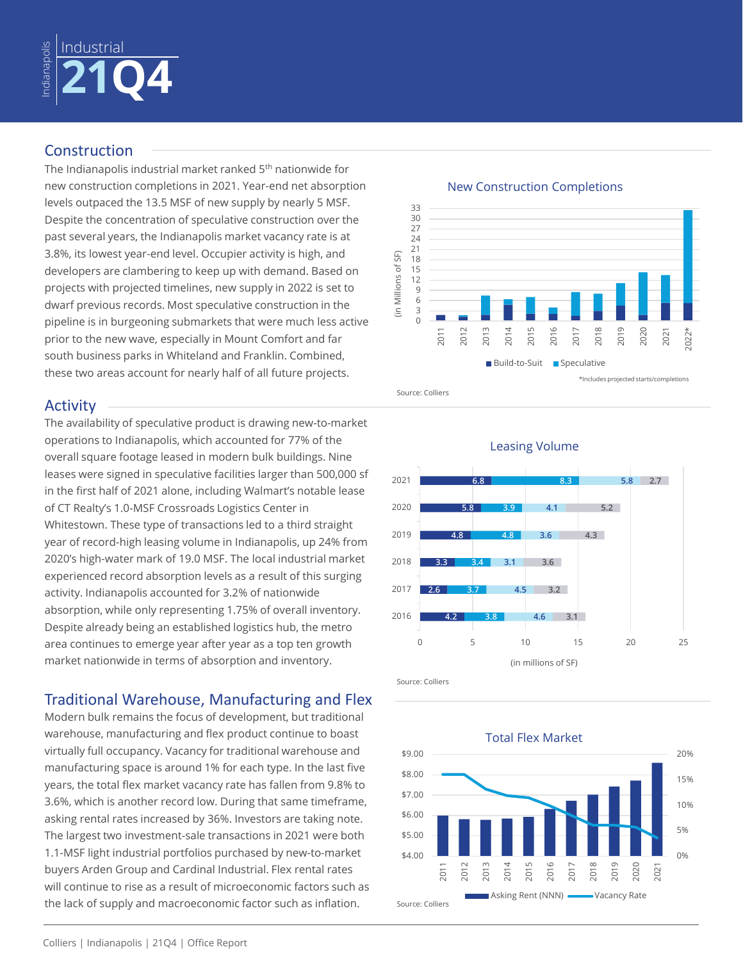

# Construction

The Indianapolis industrial market ranked 5<sup>th</sup> nationwide for new construction completions in 2021. Year-end net absorption levels outpaced the 13.5 MSF of new supply by nearly 5 MSF. Despite the concentration of speculative construction over the past several years, the Indianapolis market vacancy rate is at 3.8%, its lowest year-end level. Occupier activity is high, and developers are clambering to keep up with demand. Based on projects with projected timelines, new supply in 2022 is set to dwarf previous records. Most speculative construction in the pipeline is in burgeoning submarkets that were much less active prior to the new wave, especially in Mount Comfort and far south business parks in Whiteland and Franklin. Combined, these two areas account for nearly half of all future projects.

# Activity

The availability of speculative product is drawing new-to-market operations to Indianapolis, which accounted for 77% of the overall square footage leased in modern bulk buildings. Nine leases were signed in speculative facilities larger than 500,000 sf in the first half of 2021 alone, including Walmart's notable lease of CT Realty's 1.0-MSF Crossroads Logistics Center in Whitestown. These type of transactions led to a third straight year of record-high leasing volume in Indianapolis, up 24% from 2020's high-water mark of 19.0 MSF. The local industrial market experienced record absorption levels as a result of this surging activity. Indianapolis accounted for 3.2% of nationwide absorption, while only representing 1.75% of overall inventory. Despite already being an established logistics hub, the metro area continues to emerge year after year as a top ten growth market nationwide in terms of absorption and inventory.

# Traditional Warehouse, Manufacturing and Flex

Modern bulk remains the focus of development, but traditional warehouse, manufacturing and flex product continue to boast virtually full occupancy. Vacancy for traditional warehouse and manufacturing space is around 1% for each type. In the last five years, the total flex market vacancy rate has fallen from 9.8% to 3.6%, which is another record low. During that same timeframe, asking rental rates increased by 36%. Investors are taking note. The largest two investment-sale transactions in 2021 were both 1.1-MSF light industrial portfolios purchased by new-to-market buyers Arden Group and Cardinal Industrial. Flex rental rates will continue to rise as a result of microeconomic factors such as the lack of supply and macroeconomic factor such as inflation.



#### New Construction Completions





Source: Colliers

Source: Colliers

\$9.00

20% Total Flex Market

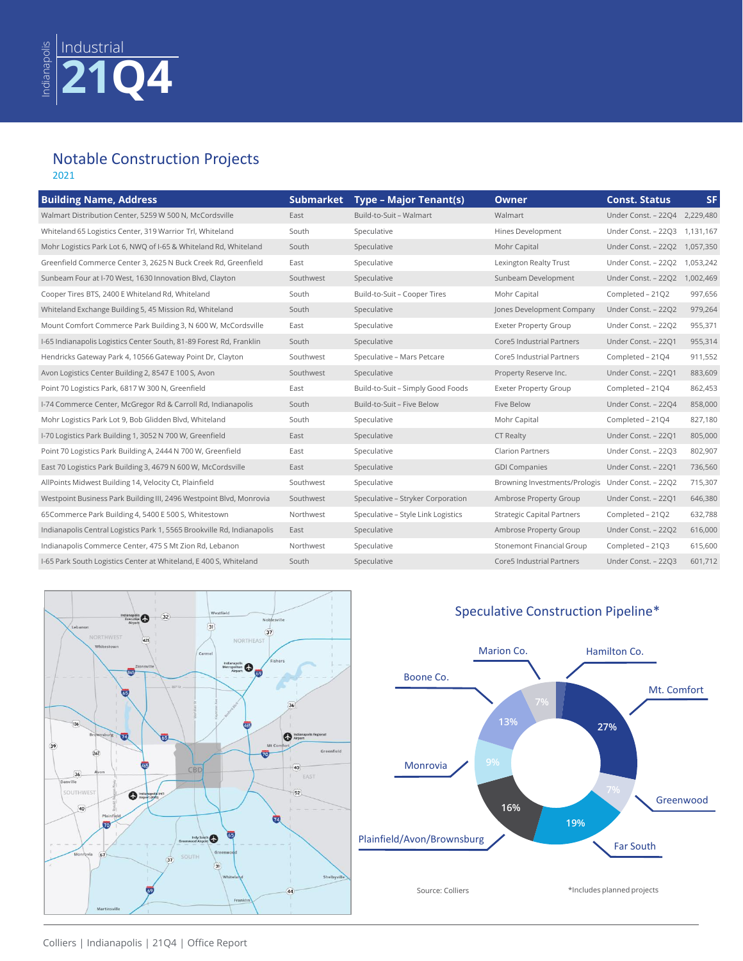### Notable Construction Projects 2021

| <b>Building Name, Address</b>                                           | <b>Submarket</b> | <b>Type - Major Tenant(s)</b>      | <b>Owner</b>                      | <b>Const. Status</b> | <b>SF</b> |
|-------------------------------------------------------------------------|------------------|------------------------------------|-----------------------------------|----------------------|-----------|
| Walmart Distribution Center, 5259 W 500 N, McCordsville                 | East             | Build-to-Suit - Walmart            | Walmart                           | Under Const. - 22Q4  | 2,229,480 |
| Whiteland 65 Logistics Center, 319 Warrior Trl, Whiteland               | South            | Speculative                        | Hines Development                 | Under Const. - 22Q3  | 1,131,167 |
| Mohr Logistics Park Lot 6, NWQ of I-65 & Whiteland Rd, Whiteland        | South            | Speculative                        | Mohr Capital                      | Under Const. - 22Q2  | 1,057,350 |
| Greenfield Commerce Center 3, 2625 N Buck Creek Rd, Greenfield          | East             | Speculative                        | Lexington Realty Trust            | Under Const. - 22Q2  | 1,053,242 |
| Sunbeam Four at I-70 West, 1630 Innovation Blvd, Clayton                | Southwest        | Speculative                        | Sunbeam Development               | Under Const. - 22Q2  | 1,002,469 |
| Cooper Tires BTS, 2400 E Whiteland Rd, Whiteland                        | South            | Build-to-Suit - Cooper Tires       | Mohr Capital                      | Completed - 21Q2     | 997,656   |
| Whiteland Exchange Building 5, 45 Mission Rd, Whiteland                 | South            | Speculative                        | Jones Development Company         | Under Const. - 22Q2  | 979,264   |
| Mount Comfort Commerce Park Building 3, N 600 W, McCordsville           | East             | Speculative                        | <b>Exeter Property Group</b>      | Under Const. - 22Q2  | 955,371   |
| I-65 Indianapolis Logistics Center South, 81-89 Forest Rd, Franklin     | South            | Speculative                        | Core5 Industrial Partners         | Under Const. - 22Q1  | 955,314   |
| Hendricks Gateway Park 4, 10566 Gateway Point Dr, Clayton               | Southwest        | Speculative - Mars Petcare         | Core5 Industrial Partners         | Completed - 2104     | 911,552   |
| Avon Logistics Center Building 2, 8547 E 100 S, Avon                    | Southwest        | Speculative                        | Property Reserve Inc.             | Under Const. - 22Q1  | 883,609   |
| Point 70 Logistics Park, 6817 W 300 N, Greenfield                       | East             | Build-to-Suit - Simply Good Foods  | <b>Exeter Property Group</b>      | Completed - 21Q4     | 862,453   |
| I-74 Commerce Center, McGregor Rd & Carroll Rd, Indianapolis            | South            | Build-to-Suit - Five Below         | Five Below                        | Under Const. - 22Q4  | 858,000   |
| Mohr Logistics Park Lot 9, Bob Glidden Blvd, Whiteland                  | South            | Speculative                        | Mohr Capital                      | Completed - 21Q4     | 827,180   |
| I-70 Logistics Park Building 1, 3052 N 700 W, Greenfield                | East             | Speculative                        | <b>CT Realty</b>                  | Under Const. - 22Q1  | 805,000   |
| Point 70 Logistics Park Building A, 2444 N 700 W, Greenfield            | East             | Speculative                        | <b>Clarion Partners</b>           | Under Const. - 22Q3  | 802,907   |
| East 70 Logistics Park Building 3, 4679 N 600 W, McCordsville           | East             | Speculative                        | <b>GDI Companies</b>              | Under Const. - 22Q1  | 736,560   |
| AllPoints Midwest Building 14, Velocity Ct, Plainfield                  | Southwest        | Speculative                        | Browning Investments/Prologis     | Under Const. - 22Q2  | 715,307   |
| Westpoint Business Park Building III, 2496 Westpoint Blvd, Monrovia     | Southwest        | Speculative - Stryker Corporation  | Ambrose Property Group            | Under Const. - 22Q1  | 646,380   |
| 65Commerce Park Building 4, 5400 E 500 S, Whitestown                    | Northwest        | Speculative - Style Link Logistics | <b>Strategic Capital Partners</b> | Completed - 21Q2     | 632,788   |
| Indianapolis Central Logistics Park 1, 5565 Brookville Rd, Indianapolis | East             | Speculative                        | Ambrose Property Group            | Under Const. - 22Q2  | 616,000   |
| Indianapolis Commerce Center, 475 S Mt Zion Rd, Lebanon                 | Northwest        | Speculative                        | Stonemont Financial Group         | Completed - 21Q3     | 615,600   |
| I-65 Park South Logistics Center at Whiteland, E 400 S, Whiteland       | South            | Speculative                        | Core5 Industrial Partners         | Under Const. - 22Q3  | 601,712   |